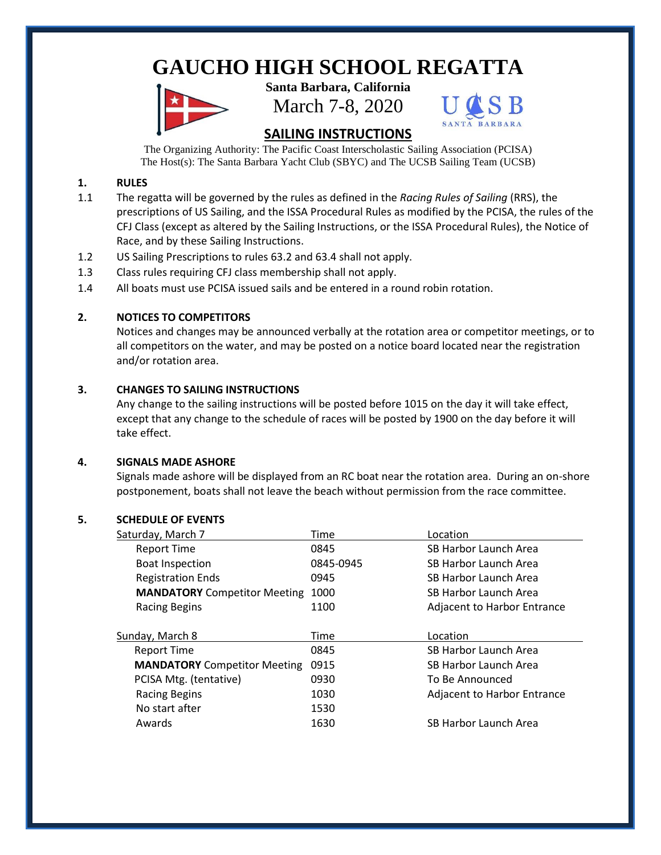# **GAUCHO HIGH SCHOOL REGATTA**

**Santa Barbara, California** March 7-8, 2020



## **SAILING INSTRUCTIONS**

The Organizing Authority: The Pacific Coast Interscholastic Sailing Association (PCISA) The Host(s): The Santa Barbara Yacht Club (SBYC) and The UCSB Sailing Team (UCSB)

## **1. RULES**

- 1.1 The regatta will be governed by the rules as defined in the *Racing Rules of Sailing* (RRS), the prescriptions of US Sailing, and the ISSA Procedural Rules as modified by the PCISA, the rules of the CFJ Class (except as altered by the Sailing Instructions, or the ISSA Procedural Rules), the Notice of Race, and by these Sailing Instructions.
- 1.2 US Sailing Prescriptions to rules 63.2 and 63.4 shall not apply.
- 1.3 Class rules requiring CFJ class membership shall not apply.
- 1.4 All boats must use PCISA issued sails and be entered in a round robin rotation.

## **2. NOTICES TO COMPETITORS**

Notices and changes may be announced verbally at the rotation area or competitor meetings, or to all competitors on the water, and may be posted on a notice board located near the registration and/or rotation area.

### **3. CHANGES TO SAILING INSTRUCTIONS**

Any change to the sailing instructions will be posted before 1015 on the day it will take effect, except that any change to the schedule of races will be posted by 1900 on the day before it will take effect.

#### **4. SIGNALS MADE ASHORE**

Signals made ashore will be displayed from an RC boat near the rotation area. During an on-shore postponement, boats shall not leave the beach without permission from the race committee.

#### **5. SCHEDULE OF EVENTS**

| Saturday, March 7                   | Time      | Location                           |
|-------------------------------------|-----------|------------------------------------|
| <b>Report Time</b>                  | 0845      | SB Harbor Launch Area              |
| <b>Boat Inspection</b>              | 0845-0945 | SB Harbor Launch Area              |
| <b>Registration Ends</b>            | 0945      | SB Harbor Launch Area              |
| <b>MANDATORY</b> Competitor Meeting | 1000      | SB Harbor Launch Area              |
| <b>Racing Begins</b>                | 1100      | <b>Adjacent to Harbor Entrance</b> |
|                                     |           |                                    |
| Sunday, March 8                     | Time      | Location                           |
| Report Time                         | 0845      | SB Harbor Launch Area              |
| <b>MANDATORY</b> Competitor Meeting | 0915      | SB Harbor Launch Area              |
| PCISA Mtg. (tentative)              | 0930      | To Be Announced                    |
| <b>Racing Begins</b>                | 1030      | <b>Adjacent to Harbor Entrance</b> |
| No start after                      | 1530      |                                    |
| Awards                              | 1630      | SB Harbor Launch Area              |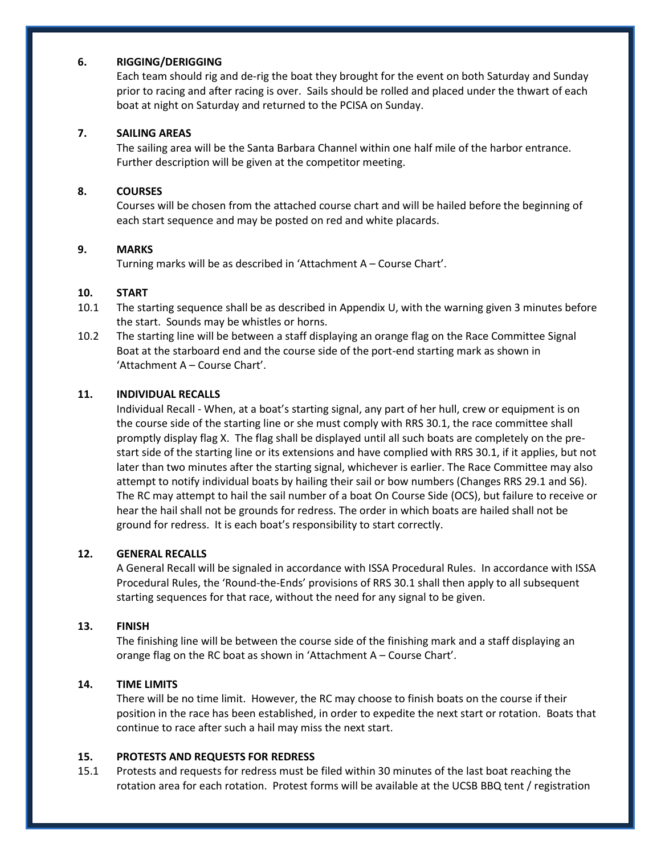#### **6. RIGGING/DERIGGING**

Each team should rig and de-rig the boat they brought for the event on both Saturday and Sunday prior to racing and after racing is over. Sails should be rolled and placed under the thwart of each boat at night on Saturday and returned to the PCISA on Sunday.

#### **7. SAILING AREAS**

The sailing area will be the Santa Barbara Channel within one half mile of the harbor entrance. Further description will be given at the competitor meeting.

#### **8. COURSES**

Courses will be chosen from the attached course chart and will be hailed before the beginning of each start sequence and may be posted on red and white placards.

#### **9. MARKS**

Turning marks will be as described in 'Attachment A – Course Chart'.

#### **10. START**

- 10.1 The starting sequence shall be as described in Appendix U, with the warning given 3 minutes before the start. Sounds may be whistles or horns.
- 10.2 The starting line will be between a staff displaying an orange flag on the Race Committee Signal Boat at the starboard end and the course side of the port-end starting mark as shown in 'Attachment A – Course Chart'.

#### **11. INDIVIDUAL RECALLS**

Individual Recall - When, at a boat's starting signal, any part of her hull, crew or equipment is on the course side of the starting line or she must comply with RRS 30.1, the race committee shall promptly display flag X. The flag shall be displayed until all such boats are completely on the prestart side of the starting line or its extensions and have complied with RRS 30.1, if it applies, but not later than two minutes after the starting signal, whichever is earlier. The Race Committee may also attempt to notify individual boats by hailing their sail or bow numbers (Changes RRS 29.1 and S6). The RC may attempt to hail the sail number of a boat On Course Side (OCS), but failure to receive or hear the hail shall not be grounds for redress. The order in which boats are hailed shall not be ground for redress. It is each boat's responsibility to start correctly.

#### **12. GENERAL RECALLS**

A General Recall will be signaled in accordance with ISSA Procedural Rules. In accordance with ISSA Procedural Rules, the 'Round-the-Ends' provisions of RRS 30.1 shall then apply to all subsequent starting sequences for that race, without the need for any signal to be given.

#### **13. FINISH**

The finishing line will be between the course side of the finishing mark and a staff displaying an orange flag on the RC boat as shown in 'Attachment A – Course Chart'.

#### **14. TIME LIMITS**

There will be no time limit. However, the RC may choose to finish boats on the course if their position in the race has been established, in order to expedite the next start or rotation. Boats that continue to race after such a hail may miss the next start.

#### **15. PROTESTS AND REQUESTS FOR REDRESS**

15.1 Protests and requests for redress must be filed within 30 minutes of the last boat reaching the rotation area for each rotation. Protest forms will be available at the UCSB BBQ tent / registration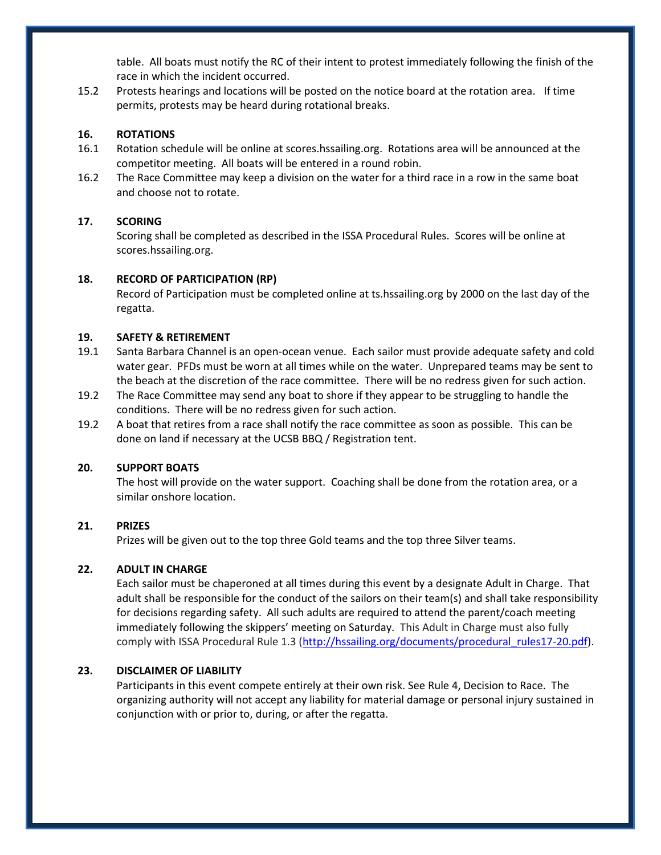table. All boats must notify the RC of their intent to protest immediately following the finish of the race in which the incident occurred.

15.2 Protests hearings and locations will be posted on the notice board at the rotation area. If time permits, protests may be heard during rotational breaks.

#### **16. ROTATIONS**

- 16.1 Rotation schedule will be online at scores.hssailing.org. Rotations area will be announced at the competitor meeting. All boats will be entered in a round robin.
- 16.2 The Race Committee may keep a division on the water for a third race in a row in the same boat and choose not to rotate.

#### **17. SCORING**

Scoring shall be completed as described in the ISSA Procedural Rules. Scores will be online at scores.hssailing.org.

#### **18. RECORD OF PARTICIPATION (RP)**

Record of Participation must be completed online at ts.hssailing.org by 2000 on the last day of the regatta.

#### **19. SAFETY & RETIREMENT**

- 19.1 Santa Barbara Channel is an open-ocean venue. Each sailor must provide adequate safety and cold water gear. PFDs must be worn at all times while on the water. Unprepared teams may be sent to the beach at the discretion of the race committee. There will be no redress given for such action.
- 19.2 The Race Committee may send any boat to shore if they appear to be struggling to handle the conditions. There will be no redress given for such action.
- 19.2 A boat that retires from a race shall notify the race committee as soon as possible. This can be done on land if necessary at the UCSB BBQ / Registration tent.

#### **20. SUPPORT BOATS**

The host will provide on the water support. Coaching shall be done from the rotation area, or a similar onshore location.

#### **21. PRIZES**

Prizes will be given out to the top three Gold teams and the top three Silver teams.

### **22. ADULT IN CHARGE**

Each sailor must be chaperoned at all times during this event by a designate Adult in Charge. That adult shall be responsible for the conduct of the sailors on their team(s) and shall take responsibility for decisions regarding safety. All such adults are required to attend the parent/coach meeting immediately following the skippers' meeting on Saturday. This Adult in Charge must also fully comply with ISSA Procedural Rule 1.3 [\(http://hssailing.org/documents/procedural\\_rules17-20.pdf\)](http://hssailing.org/documents/procedural_rules17-20.pdf).

### **23. DISCLAIMER OF LIABILITY**

Participants in this event compete entirely at their own risk. See Rule 4, Decision to Race. The organizing authority will not accept any liability for material damage or personal injury sustained in conjunction with or prior to, during, or after the regatta.